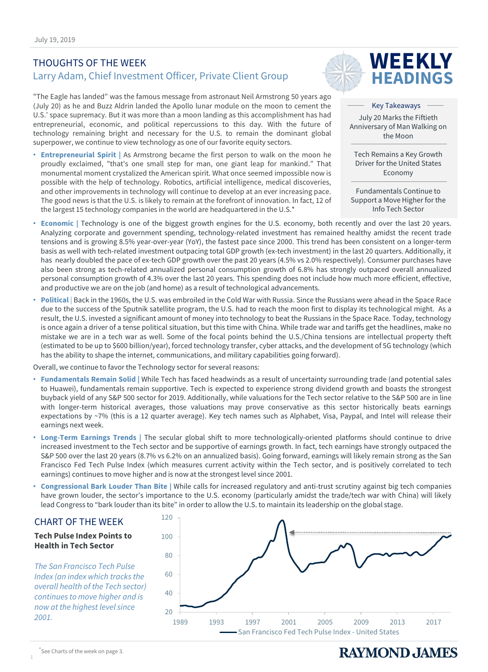### THOUGHTS OF THE WEEK Larry Adam, Chief Investment Officer, Private Client Group

"The Eagle has landed" was the famous message from astronaut Neil Armstrong 50 years ago (July 20) as he and Buzz Aldrin landed the Apollo lunar module on the moon to cement the U.S.' space supremacy. But it was more than a moon landing as this accomplishment has had entrepreneurial, economic, and political repercussions to this day. With the future of technology remaining bright and necessary for the U.S. to remain the dominant global superpower, we continue to view technology as one of our favorite equity sectors.

• **Entrepreneurial Spirit |** As Armstrong became the first person to walk on the moon he proudly exclaimed, "that's one small step for man, one giant leap for mankind." That monumental moment crystalized the American spirit. What once seemed impossible now is possible with the help of technology. Robotics, artificial intelligence, medical discoveries, and other improvements in technology will continue to develop at an ever increasing pace. The good news is that the U.S. is likely to remain at the forefront of innovation. In fact, 12 of the largest 15 technology companies in the world are headquartered in the U.S.\*



Key Takeaways July 20 Marks the Fiftieth Anniversary of Man Walking on the Moon

**WEEKLY HEADINGS**

Tech Remains a Key Growth Driver for the United States Economy

Fundamentals Continue to Support a Move Higher for the Info Tech Sector

- **Economic |** Technology is one of the biggest growth engines for the U.S. economy, both recently and over the last 20 years. Analyzing corporate and government spending, technology-related investment has remained healthy amidst the recent trade tensions and is growing 8.5% year-over-year (YoY), the fastest pace since 2000. This trend has been consistent on a longer-term basis as well with tech-related investment outpacing total GDP growth (ex-tech investment) in the last 20 quarters. Additionally, it has nearly doubled the pace of ex-tech GDP growth over the past 20 years (4.5% vs 2.0% respectively). Consumer purchases have also been strong as tech-related annualized personal consumption growth of 6.8% has strongly outpaced overall annualized personal consumption growth of 4.3% over the last 20 years. This spending does not include how much more efficient, effective, and productive we are on the job (and home) as a result of technological advancements.
- **Political** | Back in the 1960s, the U.S. was embroiled in the Cold War with Russia. Since the Russians were ahead in the Space Race due to the success of the Sputnik satellite program, the U.S. had to reach the moon first to display its technological might. As a result, the U.S. invested a significant amount of money into technology to beat the Russians in the Space Race. Today, technology is once again a driver of a tense political situation, but this time with China. While trade war and tariffs get the headlines, make no mistake we are in a tech war as well. Some of the focal points behind the U.S./China tensions are intellectual property theft (estimated to be up to \$600 billion/year), forced technology transfer, cyber attacks, and the development of 5G technology (which has the ability to shape the internet, communications, and military capabilities going forward).

Overall, we continue to favor the Technology sector for several reasons:

- **Fundamentals Remain Solid |** While Tech has faced headwinds as a result of uncertainty surrounding trade (and potential sales to Huawei), fundamentals remain supportive. Tech is expected to experience strong dividend growth and boasts the strongest buyback yield of any S&P 500 sector for 2019. Additionally, while valuations for the Tech sector relative to the S&P 500 are in line with longer-term historical averages, those valuations may prove conservative as this sector historically beats earnings expectations by ~7% (this is a 12 quarter average). Key tech names such as Alphabet, Visa, Paypal, and Intel will release their earnings next week.
- **Long-Term Earnings Trends |** The secular global shift to more technologically-oriented platforms should continue to drive increased investment to the Tech sector and be supportive of earnings growth. In fact, tech earnings have strongly outpaced the S&P 500 over the last 20 years (8.7% vs 6.2% on an annualized basis). Going forward, earnings will likely remain strong as the San Francisco Fed Tech Pulse Index (which measures current activity within the Tech sector, and is positively correlated to tech earnings) continues to move higher and is now at the strongest level since 2001.
- **Congressional Bark Louder Than Bite |** While calls for increased regulatory and anti-trust scrutiny against big tech companies have grown louder, the sector's importance to the U.S. economy (particularly amidst the trade/tech war with China) will likely lead Congress to "bark louder than its bite" in order to allow the U.S. to maintain its leadership on the global stage.



1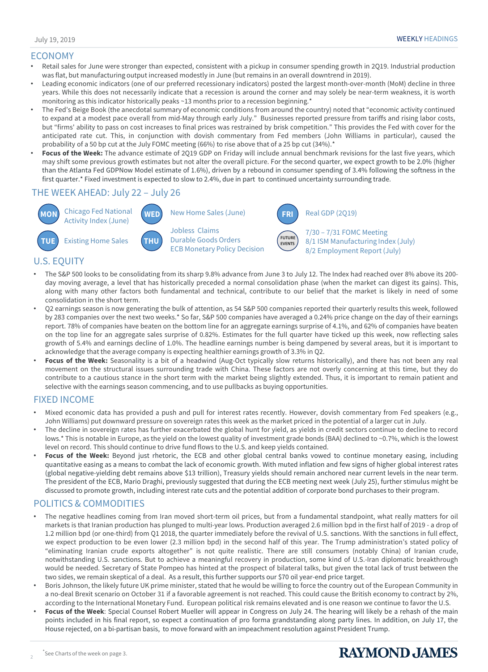#### ECONOMY

- Retail sales for June were stronger than expected, consistent with a pickup in consumer spending growth in 2Q19. Industrial production was flat, but manufacturing output increased modestly in June (but remains in an overall downtrend in 2019).
- Leading economic indicators (one of our preferred recessionary indicators) posted the largest month-over-month (MoM) decline in three years. While this does not necessarily indicate that a recession is around the corner and may solely be near-term weakness, it is worth monitoring as this indicator historically peaks ~13 months prior to a recession beginning.\*
- The Fed's Beige Book (the anecdotal summary of economic conditions from around the country) noted that "economic activity continued to expand at a modest pace overall from mid-May through early July." Businesses reported pressure from tariffs and rising labor costs, but "firms' ability to pass on cost increases to final prices was restrained by brisk competition." This provides the Fed with cover for the anticipated rate cut. This, in conjunction with dovish commentary from Fed members (John Williams in particular), caused the probability of a 50 bp cut at the July FOMC meeting (66%) to rise above that of a 25 bp cut (34%).\*
- **Focus of the Week:** The advance estimate of 2Q19 GDP on Friday will include annual benchmark revisions for the last five years, which may shift some previous growth estimates but not alter the overall picture. For the second quarter, we expect growth to be 2.0% (higher than the Atlanta Fed GDPNow Model estimate of 1.6%), driven by a rebound in consumer spending of 3.4% following the softness in the first quarter.\* Fixed investment is expected to slow to 2.4%, due in part to continued uncertainty surrounding trade.

#### THE WEEK AHEAD: July 22 – July 26



New Home Sales (June) Jobless Claims Durable Goods Orders

ECB Monetary Policy Decision



Real GDP (2Q19)

7/30 – 7/31 FOMC Meeting 8/1 ISM Manufacturing Index (July) 8/2 Employment Report (July)

#### U.S. EQUITY

- The S&P 500 looks to be consolidating from its sharp 9.8% advance from June 3 to July 12. The Index had reached over 8% above its 200 day moving average, a level that has historically preceded a normal consolidation phase (when the market can digest its gains). This, along with many other factors both fundamental and technical, contribute to our belief that the market is likely in need of some consolidation in the short term.
- Q2 earnings season is now generating the bulk of attention, as 54 S&P 500 companies reported their quarterly results this week, followed by 283 companies over the next two weeks.\* So far, S&P 500 companies have averaged a 0.24% price change on the day of their earnings report. 78% of companies have beaten on the bottom line for an aggregate earnings surprise of 4.1%, and 62% of companies have beaten on the top line for an aggregate sales surprise of 0.82%. Estimates for the full quarter have ticked up this week, now reflecting sales growth of 5.4% and earnings decline of 1.0%. The headline earnings number is being dampened by several areas, but it is important to acknowledge that the average company is expecting healthier earnings growth of 3.3% in Q2.
- **Focus of the Week:** Seasonality is a bit of a headwind (Aug-Oct typically slow returns historically), and there has not been any real movement on the structural issues surrounding trade with China. These factors are not overly concerning at this time, but they do contribute to a cautious stance in the short term with the market being slightly extended. Thus, it is important to remain patient and selective with the earnings season commencing, and to use pullbacks as buying opportunities.

#### FIXED INCOME

- Mixed economic data has provided a push and pull for interest rates recently. However, dovish commentary from Fed speakers (e.g., John Williams) put downward pressure on sovereign rates this week as the market priced in the potential of a larger cut in July.
- The decline in sovereign rates has further exacerbated the global hunt for yield, as yields in credit sectors continue to decline to record lows.\* This is notable in Europe, as the yield on the lowest quality of investment grade bonds (BAA) declined to ~0.7%, which is the lowest level on record. This should continue to drive fund flows to the U.S. and keep yields contained.
- **Focus of the Week:** Beyond just rhetoric, the ECB and other global central banks vowed to continue monetary easing, including quantitative easing as a means to combat the lack of economic growth. With muted inflation and few signs of higher global interest rates (global negative-yielding debt remains above \$13 trillion), Treasury yields should remain anchored near current levels in the near term. The president of the ECB, Mario Draghi, previously suggested that during the ECB meeting next week (July 25), further stimulus might be discussed to promote growth, including interest rate cuts and the potential addition of corporate bond purchases to their program.

### POLITICS & COMMODITIES

- The negative headlines coming from Iran moved short-term oil prices, but from a fundamental standpoint, what really matters for oil markets is that Iranian production has plunged to multi-year lows. Production averaged 2.6 million bpd in the first half of 2019 - a drop of 1.2 million bpd (or one-third) from Q1 2018, the quarter immediately before the revival of U.S. sanctions. With the sanctions in full effect, we expect production to be even lower (2.3 million bpd) in the second half of this year. The Trump administration's stated policy of "eliminating Iranian crude exports altogether" is not quite realistic. There are still consumers (notably China) of Iranian crude, notwithstanding U.S. sanctions. But to achieve a meaningful recovery in production, some kind of U.S.-Iran diplomatic breakthrough would be needed. Secretary of State Pompeo has hinted at the prospect of bilateral talks, but given the total lack of trust between the two sides, we remain skeptical of a deal. As a result, this further supports our \$70 oil year-end price target.
- Boris Johnson, the likely future UK prime minister, stated that he would be willing to force the country out of the European Community in a no-deal Brexit scenario on October 31 if a favorable agreement is not reached. This could cause the British economy to contract by 2%, according to the International Monetary Fund. European political risk remains elevated and is one reason we continue to favor the U.S.
- **Focus of the Week**: Special Counsel Robert Mueller will appear in Congress on July 24. The hearing will likely be a rehash of the main points included in his final report, so expect a continuation of pro forma grandstanding along party lines. In addition, on July 17, the House rejected, on a bi-partisan basis, to move forward with an impeachment resolution against President Trump.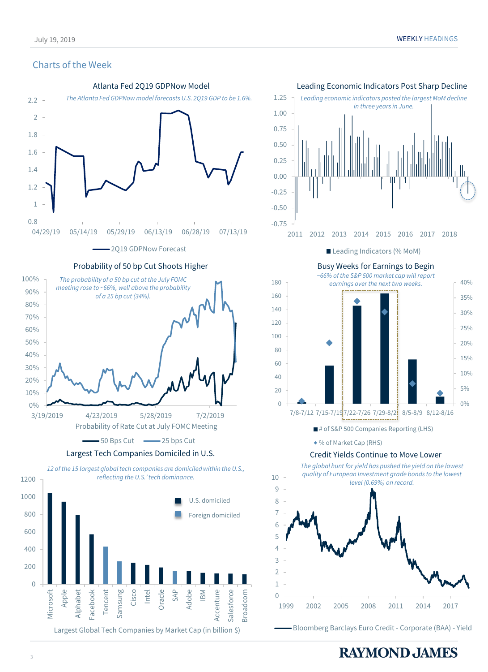#### Charts of the Week









■ # of S&P 500 Companies Reporting (LHS)

% of Market Cap (RHS)

#### Credit Yields Continue to Move Lower

*The global hunt for yield has pushed the yield on the lowest quality of European Investment grade bonds to the lowest level (0.69%) on record.* 0 1  $\overline{\mathcal{L}}$ 3 4 5 6 7 8 9 10 1999 2002 2005 2008 2011 2014 2017

Bloomberg Barclays Euro Credit - Corporate (BAA) - Yield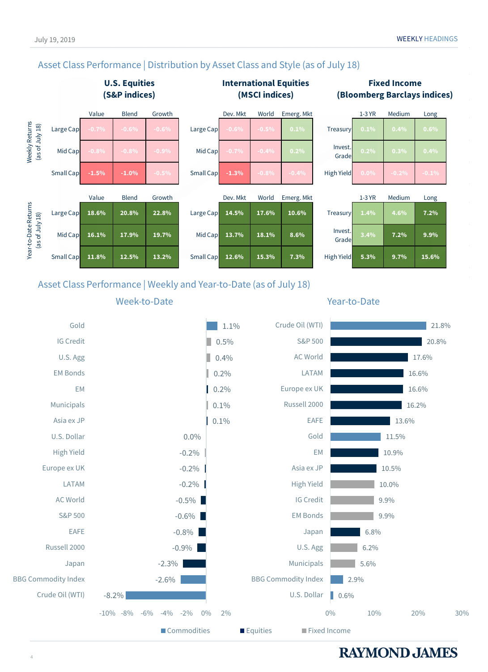### Asset Class Performance | Distribution by Asset Class and Style (as of July 18)



#### **Fixed Income (Bloomberg Barclays indices)**



### Asset Class Performance | Weekly and Year-to-Date (as of July 18)





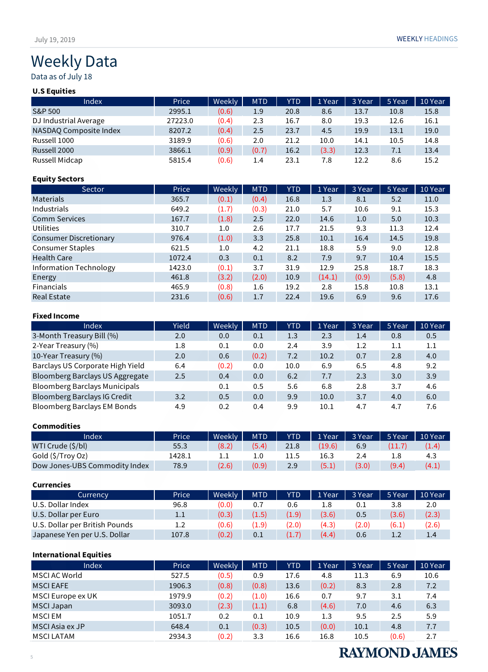# Weekly Data

Data as of July 18

#### **U.S Equities**

| Index                  | Price   | Weekly | <b>MTD</b> | <b>YTD</b> | 1 Year | 3 Year | 5 Year | 10 Year |
|------------------------|---------|--------|------------|------------|--------|--------|--------|---------|
| S&P 500                | 2995.1  | (0.6)  | 1.9        | 20.8       | 8.6    | 13.7   | 10.8   | 15.8    |
| DJ Industrial Average  | 27223.0 | (0.4)  | 2.3        | 16.7       | 8.0    | 19.3   | 12.6   | 16.1    |
| NASDAQ Composite Index | 8207.2  | (0.4)  | 2.5        | 23.7       | 4.5    | 19.9   | 13.1   | 19.0    |
| Russell 1000           | 3189.9  | (0.6)  | 2.0        | 21.2       | 10.0   | 14.1   | 10.5   | 14.8    |
| Russell 2000           | 3866.1  | (0.9)  | (0.7)      | 16.2       | (3.3)  | 12.3   | 7.1    | 13.4    |
| Russell Midcap         | 5815.4  | (0.6)  | 1.4        | 23.1       | 7.8    | 12.2   | 8.6    | 15.2    |

#### **Equity Sectors**

| Sector                        | Price  | <b>Weekly</b> | <b>MTD</b> | <b>YTD</b> | 1 Year | 3 Year | 5 Year | 10 Year |
|-------------------------------|--------|---------------|------------|------------|--------|--------|--------|---------|
| <b>Materials</b>              | 365.7  | (0.1)         | (0.4)      | 16.8       | 1.3    | 8.1    | 5.2    | 11.0    |
| Industrials                   | 649.2  | (1.7)         | (0.3)      | 21.0       | 5.7    | 10.6   | 9.1    | 15.3    |
| <b>Comm Services</b>          | 167.7  | (1.8)         | 2.5        | 22.0       | 14.6   | 1.0    | 5.0    | 10.3    |
| Utilities                     | 310.7  | 1.0           | 2.6        | 17.7       | 21.5   | 9.3    | 11.3   | 12.4    |
| <b>Consumer Discretionary</b> | 976.4  | (1.0)         | 3.3        | 25.8       | 10.1   | 16.4   | 14.5   | 19.8    |
| <b>Consumer Staples</b>       | 621.5  | 1.0           | 4.2        | 21.1       | 18.8   | 5.9    | 9.0    | 12.8    |
| <b>Health Care</b>            | 1072.4 | 0.3           | 0.1        | 8.2        | 7.9    | 9.7    | 10.4   | 15.5    |
| <b>Information Technology</b> | 1423.0 | (0.1)         | 3.7        | 31.9       | 12.9   | 25.8   | 18.7   | 18.3    |
| Energy                        | 461.8  | (3.2)         | (2.0)      | 10.9       | (14.1) | (0.9)  | (5.8)  | 4.8     |
| <b>Financials</b>             | 465.9  | (0.8)         | 1.6        | 19.2       | 2.8    | 15.8   | 10.8   | 13.1    |
| <b>Real Estate</b>            | 231.6  | (0.6)         | 1.7        | 22.4       | 19.6   | 6.9    | 9.6    | 17.6    |

#### **Fixed Income**

| Index                              | Yield | Weekly | <b>MTD</b> | YTD  | 1 Year | 3 Year | 5 Year  | 10 Year |
|------------------------------------|-------|--------|------------|------|--------|--------|---------|---------|
| 3-Month Treasury Bill (%)          | 2.0   | 0.0    | 0.1        | 1.3  | 2.3    | 1.4    | 0.8     | 0.5     |
| 2-Year Treasury (%)                | 1.8   | 0.1    | 0.0        | 2.4  | 3.9    | 1.2    | $1.1\,$ | 1.1     |
| 10-Year Treasury (%)               | 2.0   | 0.6    | (0.2)      | 7.2  | 10.2   | 0.7    | 2.8     | 4.0     |
| Barclays US Corporate High Yield   | 6.4   | (0.2)  | 0.0        | 10.0 | 6.9    | 6.5    | 4.8     | 9.2     |
| Bloomberg Barclays US Aggregate    | 2.5   | 0.4    | 0.0        | 6.2  | 7.7    | 2.3    | 3.0     | 3.9     |
| Bloomberg Barclays Municipals      |       | 0.1    | 0.5        | 5.6  | 6.8    | 2.8    | 3.7     | 4.6     |
| Bloomberg Barclays IG Credit       | 3.2   | 0.5    | 0.0        | 9.9  | 10.0   | 3.7    | 4.0     | 6.0     |
| <b>Bloomberg Barclays EM Bonds</b> | 4.9   | 0.2    | 0.4        | 9.9  | 10.1   | 4.7    | 4.7     | 7.6     |

#### **Commodities**

| Index                         | Price  | Weekly | <b>MTD</b> | <b>YTD</b> | $\vert$ 1 Year | 3 Year | 5 Year | 10 Year |
|-------------------------------|--------|--------|------------|------------|----------------|--------|--------|---------|
| WTI Crude (\$/bl)             | 55.3   | (8.2)  | (5.4)      | 21.8       | (19.6)         | 6.9    | (11.7) | (1.4)   |
| Gold (\$/Troy Oz)             | 1428.1 |        |            |            | 16.3           |        | 1.8    | 4.3     |
| Dow Jones-UBS Commodity Index | 78.9   | (2.6)  | (0.9)      | 2.9        | (5.1)          | (3.0)  | (9.4)  | (4.1)   |

#### **Currencies**

| Currency                       | Price | Weekly | <b>MTD</b> | YTD   | 1 Year | 3 Year | 5 Year | 10 Year       |
|--------------------------------|-------|--------|------------|-------|--------|--------|--------|---------------|
| U.S. Dollar Index              | 96.8  | (0.0)  | 0.7        | 0.6   |        |        | 3.8    | 2.0           |
| U.S. Dollar per Euro           | 1.1   | (0.3)  | (1.5)      | (1.9) | (3.6)  | 0.5    | (3.6)  | (2.3)         |
| U.S. Dollar per British Pounds | 1.2   | (0.6)  | 1.9)       | (2.0) | (4.3)  | (2.0)  | (6.1)  | (2.6)         |
| Japanese Yen per U.S. Dollar   | 107.8 | (0.2)  | 0.1        | (1.7) | (4.4)  | 0.6    | ⊥.∠    | $1.4^{\circ}$ |

#### **International Equities**

| <b>Index</b>      | Price  | Weekly | <b>MTD</b> | <b>YTD</b> | 1 Year | 3 Year | 5 Year | 10 Year |
|-------------------|--------|--------|------------|------------|--------|--------|--------|---------|
| MSCI AC World     | 527.5  | (0.5)  | 0.9        | 17.6       | 4.8    | 11.3   | 6.9    | 10.6    |
| <b>MSCI EAFE</b>  | 1906.3 | (0.8)  | (0.8)      | 13.6       | (0.2)  | 8.3    | 2.8    | 7.2     |
| MSCI Europe ex UK | 1979.9 | (0.2)  | (1.0)      | 16.6       | 0.7    | 9.7    | 3.1    | 7.4     |
| <b>MSCI Japan</b> | 3093.0 | (2.3)  | (1.1)      | 6.8        | (4.6)  | 7.0    | 4.6    | 6.3     |
| MSCI EM           | 1051.7 | 0.2    | 0.1        | 10.9       | 1.3    | 9.5    | 2.5    | 5.9     |
| MSCI Asia ex JP   | 648.4  | 0.1    | (0.3)      | 10.5       | (0.0)  | 10.1   | 4.8    | 7.7     |
| <b>MSCI LATAM</b> | 2934.3 | (0.2)  | 3.3        | 16.6       | 16.8   | 10.5   | (0.6)  | 2.7     |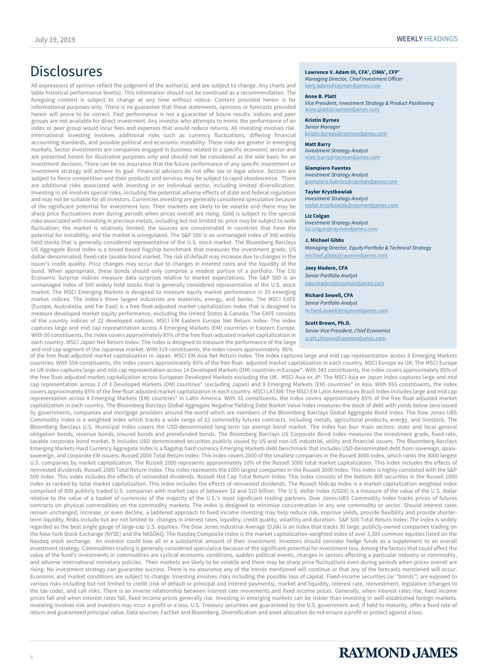# Disclosures **Lawrence V. Adam III, CFA®, CIMA®, CFP®**

All expressions of opinion reflect the judgment of the author(s), and are subject to change. Any charts and table historical performance level(s). This information should not be construed as a recommendation. The foregoing content is subject to change at any time without notice. Content provided herein is for informational purposes only. There is no guarantee that these statements, opinions or forecasts provided herein will prove to be correct. Past performance is not a guarantee of future results. Indices and peer groups are not available for direct investment. Any investor who attempts to mimic the performance of an index or peer group would incur fees and expenses that would reduce returns. All investing involves risk. International investing involves additional risks such as currency fluctuations, differing financial accounting standards, and possible political and economic instability. These risks are greater in emerging markets. Sector investments are companies engaged in business related to a specific economic sector and are presented herein for illustrative purposes only and should not be considered as the sole basis for an investment decision. There can be no assurance that the future performance of any specific investment or investment strategy will achieve its goal. Financial advisors do not offer tax or legal advice. Sectors are subject to fierce competition and their products and services may be subject to rapid obsolescence. There are additional risks associated with investing in an individual sector, including limited diversification. Investing in oil involves special risks, including the potential adverse effects of state and federal regulation and may not be suitable for all investors. Currencies investing are generally considered speculative because of the significant potential for investment loss. Their markets are likely to be volatile and there may be sharp price fluctuations even during periods when prices overall are rising. Gold is subject to the special risks associated with investing in precious metals, including but not limited to: price may be subject to wide fluctuation; the market is relatively limited; the sources are concentrated in countries that have the potential for instability; and the market is unregulated. The S&P 500 is an unmanaged index of 500 widely held stocks that is generally considered representative of the U.S. stock market. The Bloomberg Barclays US Aggregate Bond Index is a broad-based flagship benchmark that measures the investment grade, US dollar-denominated, fixed-rate taxable bond market. The risk of default may increase due to changes in the issuer's credit quality. Price changes may occur due to changes in interest rates and the liquidity of the bond. When appropriate, these bonds should only comprise a modest portion of a portfolio. The Citi Economic Surprise Indices measure data surprises relative to market expectations. The S&P 500 is an unmanaged index of 500 widely held stocks that is generally considered representative of the U.S. stock market. The MSCI Emerging Markets is designed to measure equity market performance in 25 emerging market indices. The index's three largest industries are materials, energy, and banks. The MSCI EAFE (Europe, Australasia, and Far East) is a free float-adjusted market capitalization index that is designed to measure developed market equity performance, excluding the United States & Canada. The EAFE consists of the country indices of 22 developed nations. MSCI EM Eastern Europe Net Return Index: The index captures large and mid cap representation across 4 Emerging Markets (EM) countries in Eastern Europe. With 50 constituents, the index covers approximately 85% of the free float-adjusted market capitalization in each country. MSCI Japan Net Return Index: The index is designed to measure the performance of the large and mid cap segment of the Japanese market. With 319 constituents, the index covers approximately 85%

*Managing Director, Chief Investment Officer* [larry.adam@raymondjames.com](mailto:larry.adam@raymondjames.com)

#### **Anne B. Platt**

*Vice President, Investment Strategy & Product Positioning* [anne.platt@raymondjames.com](mailto:anne.platt@raymondjames.com)

**Kristin Byrnes** *Senior Manager*

kristin.byrnes@raymondjames.com

#### **Matt Barry**

*Investment Strategy Analyst* [matt.barry@raymondjames.com](mailto:matt.barry@raymondjames.com)

#### **Giampiero Fuentes**

*Investment Strategy Analyst* [giampiero.fuentes@raymondjames.com](mailto:giampiero.fuentes@raymondjames.com)

#### **Taylor Krystkowiak**

*Investment Strategy Analyst* [taylor.krystkowiak@raymondjames.com](mailto:taylor.krystkowiak@raymondjames.com)

#### **Liz Colgan**

*Investment Strategy Analyst* [liz.colgan@raymondjames.com](mailto:taylor.krystkowiak@raymondjames.com)

#### **J. Michael Gibbs**

*Managing Director, Equity Portfolio & Technical Strategy* [michael.gibbs@raymondjames.com](mailto:michael.gibbs@raymondjames.com)

#### **Joey Madere, CFA**

*Senior Portfolio Analyst* [joey.madere@raymondjames.com](mailto:joey.madere@raymondjames.com)

#### **Richard Sewell, CFA**

*Senior Portfolio Analyst* [richard.sewell@raymondjames.com](mailto:richard.sewell@raymondjames.com)

#### **Scott Brown, Ph.D.**

*Senior Vice President, Chief Economist*

[scott.j.brown@raymondjames.com](mailto:scott.j.brown@raymondjames.com)

of the free float-adjusted market capitalization in Japan. MSCI EM Asia Net Return Index: The index captures large and mid cap representation across 8 Emerging Markets countries. With 554 constituents, the index covers approximately 85% of the free float- adjusted market capitalization in each country. MSCI Europe ex UK: The MSCI Europe ex UK Index captures large and mid cap representation across 14 Developed Markets (DM) countries in Europe\*. With 343 constituents, the index covers approximately 85% of the free float-adjusted market capitalization across European Developed Markets excluding the UK. MSCI Asia ex JP: The MSCI Asia ex Japan Index captures large and mid cap representation across 2 of 3 Developed Markets (DM) countries\* (excluding Japan) and 9 Emerging Markets (EM) countries\* in Asia. With 955 constituents, the index covers approximately 85% of the free float adjusted market capitalization in each country. MSCI LATAM: The MSCI EM Latin America ex Brazil Index includes large and mid cap representation across 4 Emerging Markets (EM) countries\* in Latin America. With 55 constituents, the index covers approximately 85% of the free float-adjusted market capitalization in each country. The Bloomberg Barclays Global Aggregate Negative Yielding Debt Market Value Index measures the stock of debt with yields below zero issued by governments, companies and mortgage providers around the world which are members of the Bloomberg Barclays Global Aggregate Bond Index. The Dow Jones UBS Commodity Index is a weighted index which tracks a wide range of 22 commodity futures contracts, including metals, agricultural products, energy, and livestock. The Bloomberg Barclays U.S. Municipal Index covers the USD-denominated long-term tax exempt bond market. The index has four main sectors: state and local general obligation bonds, revenue bonds, insured bonds and prerefunded bonds. The Bloomberg Barclays US Corporate Bond Index measures the investment grade, fixed-rate, taxable corporate bond market. It includes USD denominated securities publicly issued by US and non-US industrial, utility and financial issuers. The Bloomberg Barclays Emerging Markets Hard Currency Aggregate Index is a flagship hard currency Emerging Markets debt benchmark that includes USD-denominated debt from sovereign, quasisovereign, and corporate EM issuers. Russell 2000 Total Return Index: This index covers 2000 of the smallest companies in the Russell 3000 Index, which ranks the 3000 largest U.S. companies by market capitalization. The Russell 2000 represents approximately 10% of the Russell 3000 total market capitalization. This index includes the effects of reinvested dividends. Russell 1000 Total Return Index: This index represents the 1000 largest companies in the Russell 3000 Index. This index is highly correlated with the S&P 500 Index. This index includes the effects of reinvested dividends. Russell Mid Cap Total Return Index: This index consists of the bottom 800 securities in the Russell 1000 Index as ranked by total market capitalization. This index includes the effects of reinvested dividends. The Russell Midcap Index is a market capitalization weighted index comprised of 800 publicly traded U.S. companies with market caps of between \$2 and \$10 billion. The U.S. dollar index (USDX) is a measure of the value of the U.S. dollar relative to the value of a basket of currencies of the majority of the U.S.'s most significant trading partners. Dow Jones-UBS Commodity Index tracks prices of futures contracts on physical commodities on the commodity markets. The index is designed to minimize concentration in any one commodity or sector. Should interest rates remain unchanged, increase, or even decline, a laddered approach to fixed income investing may help reduce risk, improve yields, provide flexibility and provide shorterterm liquidity. Risks include but are not limited to: changes in interest rates, liquidity, credit quality, volatility and duration. S&P 500 Total Return Index: The index is widely regarded as the best single gauge of large-cap U.S. equities. The Dow Jones Industrial Average (DJIA) is an index that tracks 30 large, publicly-owned companies trading on the New York Stock Exchange (NYSE) and the NASDAQ. The Nasdaq Composite Index is the market capitalization-weighted index of over 3,300 common equities listed on the Nasdaq stock exchange. An investor could lose all or a substantial amount of their investment. Investors should consider hedge funds as a supplement to an overall investment strategy. Commodities trading is generally considered speculative because of the significant potential for investment loss. Among the factors that could affect the value of the fund's investments in commodities are cyclical economic conditions, sudden political events, changes in sectors affecting a particular industry or commodity, and adverse international monetary policies. Their markets are likely to be volatile and there may be sharp price fluctuations even during periods when prices overall are rising. No investment strategy can guarantee success. There is no assurance any of the trends mentioned will continue or that any of the forecasts mentioned will occur. Economic and market conditions are subject to change. Investing involves risks including the possible loss of capital. Fixed-income securities (or "bonds") are exposed to various risks including but not limited to credit (risk of default or principal and interest payments), market and liquidity, interest rate, reinvestment, legislative (changes to the tax code), and call risks. There is an inverse relationship between interest rate movements and fixed income prices. Generally, when interest rates rise, fixed income prices fall and when interest rates fall, fixed income prices generally rise. Investing in emerging markets can be riskier than investing in well-established foreign markets. Investing involves risk and investors may incur a profit or a loss. U.S. Treasury securities are guaranteed by the U.S. government and, if held to maturity, offer a fixed rate of return and guaranteed principal value. Data sources: FactSet and Bloomberg. Diversification and asset allocation do not ensure a profit or protect against a loss.